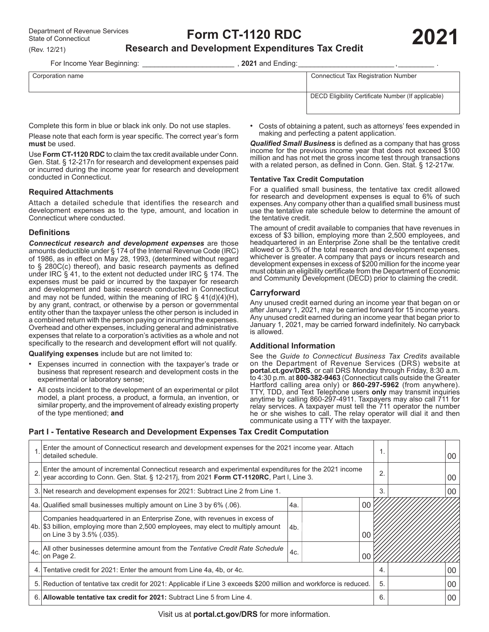(Rev. 12/21)

# **Form CT-1120 RDC**

# **Research and Development Expenditures Tax Credit**

For Income Year Beginning: \_\_\_\_\_\_\_\_\_\_\_\_\_\_\_\_\_\_\_\_\_\_\_\_\_\_\_\_\_\_\_\_, 2021 and Ending:\_

| Corporation name | <b>Connecticut Tax Registration Number</b>          |  |  |
|------------------|-----------------------------------------------------|--|--|
|                  | DECD Eligibility Certificate Number (If applicable) |  |  |

Complete this form in blue or black ink only. Do not use staples.

Please note that each form is year specific. The correct year's form **must** be used.

Use **Form CT-1120 RDC** to claim the tax credit available under Conn. Gen. Stat. § 12‑217n for research and development expenses paid or incurred during the income year for research and development conducted in Connecticut.

#### **Required Attachments**

Attach a detailed schedule that identifies the research and development expenses as to the type, amount, and location in Connecticut where conducted.

### **Definitions**

*Connecticut research and development expenses* are those amounts deductible under § 174 of the Internal Revenue Code (IRC) of 1986, as in effect on May 28, 1993, (determined without regard to § 280C(c) thereof), and basic research payments as defined under IRC § 41, to the extent not deducted under IRC § 174. The expenses must be paid or incurred by the taxpayer for research and development and basic research conducted in Connecticut and may not be funded, within the meaning of IRC § 41(d)(4)(H), by any grant, contract, or otherwise by a person or governmental entity other than the taxpayer unless the other person is included in a combined return with the person paying or incurring the expenses. Overhead and other expenses, including general and administrative expenses that relate to a corporation's activities as a whole and not specifically to the research and development effort will not qualify.

**Qualifying expenses** include but are not limited to:

- Expenses incurred in connection with the taxpayer's trade or business that represent research and development costs in the experimental or laboratory sense;
- All costs incident to the development of an experimental or pilot model, a plant process, a product, a formula, an invention, or similar property, and the improvement of already existing property of the type mentioned; **and**

• Costs of obtaining a patent, such as attorneys' fees expended in making and perfecting a patent application.

*Qualified Small Business* is defined as a company that has gross income for the previous income year that does not exceed \$100 million and has not met the gross income test through transactions with a related person, as defined in Conn. Gen. Stat. § 12‑217w.

#### **Tentative Tax Credit Computation**

For a qualified small business, the tentative tax credit allowed for research and development expenses is equal to 6% of such expenses.Any company other than a qualified small business must use the tentative rate schedule below to determine the amount of the tentative credit.

The amount of credit available to companies that have revenues in excess of \$3 billion, employing more than 2,500 employees, and headquartered in an Enterprise Zone shall be the tentative credit allowed or 3.5% of the total research and development expenses, whichever is greater. A company that pays or incurs research and development expenses in excess of \$200 million for the income year must obtain an eligibility certificate from the Department of Economic and Community Development (DECD) prior to claiming the credit.

### **Carryforward**

Any unused credit earned during an income year that began on or after January 1, 2021, may be carried forward for 15 income years. Any unused credit earned during an income year that began prior to January 1, 2021, may be carried forward indefinitely. No carryback is allowed.

### **Additional Information**

See the *Guide to Connecticut Business Tax Credits* available on the Department of Revenue Services (DRS) website at **[portal.ct.gov/DRS](https://portal.ct.gov/DRS)**, or call DRS Monday through Friday, 8:30 a.m. to 4:30 p.m. at **800-382-9463** (Connecticut calls outside the Greater Hartford calling area only) or **860-297-5962** (from anywhere). TTY, TDD, and Text Telephone users **only** may transmit inquiries anytime by calling 860-297-4911. Taxpayers may also call 711 for relay services. A taxpayer must tell the 711 operator the number he or she wishes to call. The relay operator will dial it and then communicate using a TTY with the taxpayer.

# **Part I - Tentative Research and Development Expenses Tax Credit Computation**

|     | Enter the amount of Connecticut research and development expenses for the 2021 income year. Attach<br>detailed schedule.                                                                          |     | 00     |  |    |
|-----|---------------------------------------------------------------------------------------------------------------------------------------------------------------------------------------------------|-----|--------|--|----|
|     | Enter the amount of incremental Connecticut research and experimental expenditures for the 2021 income<br>year according to Conn. Gen. Stat. § 12-217j, from 2021 Form CT-1120RC, Part I, Line 3. |     |        |  | 00 |
|     | 3. Net research and development expenses for 2021: Subtract Line 2 from Line 1.                                                                                                                   | 3.  | 00     |  |    |
|     | 4a. Qualified small businesses multiply amount on Line 3 by 6% (.06).                                                                                                                             | 4a. | $00\,$ |  |    |
|     | Companies headquartered in an Enterprise Zone, with revenues in excess of<br>4b. \$3 billion, employing more than 2,500 employees, may elect to multiply amount<br>on Line 3 by 3.5% (.035).      | 4b. | 00     |  |    |
| 4c. | All other businesses determine amount from the Tentative Credit Rate Schedule<br>on Page 2.                                                                                                       | 4c. | 00     |  |    |
| 4.  | Tentative credit for 2021: Enter the amount from Line 4a, 4b, or 4c.                                                                                                                              | 4.  | 00     |  |    |
|     | 5. Reduction of tentative tax credit for 2021: Applicable if Line 3 exceeds \$200 million and workforce is reduced.                                                                               |     |        |  | 00 |
|     | 6. Allowable tentative tax credit for 2021: Subtract Line 5 from Line 4.                                                                                                                          | 6.  | 00     |  |    |

Visit us at **[portal.ct.gov/DRS](https://portal.ct.gov/DRS)** for more information.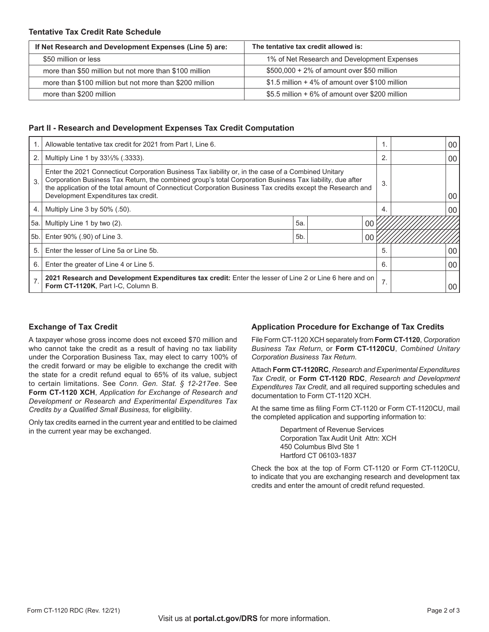### **Tentative Tax Credit Rate Schedule**

| If Net Research and Development Expenses (Line 5) are:  | The tentative tax credit allowed is:            |  |  |  |  |
|---------------------------------------------------------|-------------------------------------------------|--|--|--|--|
| \$50 million or less                                    | 1% of Net Research and Development Expenses     |  |  |  |  |
| more than \$50 million but not more than \$100 million  | $$500,000 + 2\%$ of amount over \$50 million    |  |  |  |  |
| more than \$100 million but not more than \$200 million | \$1.5 million + 4% of amount over \$100 million |  |  |  |  |
| more than \$200 million                                 | \$5.5 million + 6% of amount over \$200 million |  |  |  |  |

### **Part II - Research and Development Expenses Tax Credit Computation**

|                | Allowable tentative tax credit for 2021 from Part I, Line 6.                                                                                                                                                                                                                                                                                                            |                | 00 |    |    |
|----------------|-------------------------------------------------------------------------------------------------------------------------------------------------------------------------------------------------------------------------------------------------------------------------------------------------------------------------------------------------------------------------|----------------|----|----|----|
| 2.             | Multiply Line 1 by 331/ <sub>3</sub> % (.3333).                                                                                                                                                                                                                                                                                                                         |                |    |    | 00 |
| 3.             | Enter the 2021 Connecticut Corporation Business Tax liability or, in the case of a Combined Unitary<br>Corporation Business Tax Return, the combined group's total Corporation Business Tax liability, due after<br>the application of the total amount of Connecticut Corporation Business Tax credits except the Research and<br>Development Expenditures tax credit. |                |    |    | 00 |
| 4.             | Multiply Line $3$ by $50\%$ (.50).                                                                                                                                                                                                                                                                                                                                      |                |    | 4. | 00 |
| 5a.            | 5a<br>Multiply Line 1 by two (2).<br>00                                                                                                                                                                                                                                                                                                                                 |                |    |    |    |
| 5b.            | Enter 90% (.90) of Line 3.                                                                                                                                                                                                                                                                                                                                              | 5 <sub>b</sub> | 0C |    |    |
| 5.             | Enter the lesser of Line 5a or Line 5b.                                                                                                                                                                                                                                                                                                                                 |                |    |    | 00 |
| 6.             | Enter the greater of Line 4 or Line 5.                                                                                                                                                                                                                                                                                                                                  |                |    | 6. | 00 |
| $\overline{7}$ | 2021 Research and Development Expenditures tax credit: Enter the lesser of Line 2 or Line 6 here and on<br>Form CT-1120K, Part I-C, Column B.                                                                                                                                                                                                                           |                |    | 7. | 00 |

# **Exchange of Tax Credit**

A taxpayer whose gross income does not exceed \$70 million and who cannot take the credit as a result of having no tax liability under the Corporation Business Tax, may elect to carry 100% of the credit forward or may be eligible to exchange the credit with the state for a credit refund equal to 65% of its value, subject to certain limitations. See *Conn. Gen. Stat. § 12‑217ee*. See **Form CT-1120 XCH**, *Application for Exchange of Research and Development or Research and Experimental Expenditures Tax Credits by a Qualified Small Business,* for eligibility.

Only tax credits earned in the current year and entitled to be claimed in the current year may be exchanged.

# **Application Procedure for Exchange of Tax Credits**

File Form CT‑1120 XCH separately from **Form CT-1120**, *Corporation Business Tax Return*, or **Form CT-1120CU**, *Combined Unitary Corporation Business Tax Return*.

Attach **Form CT-1120RC**, *Research and Experimental Expenditures Tax Credit*, or **Form CT-1120 RDC**, *Research and Development Expenditures Tax Credit*, and all required supporting schedules and documentation to Form CT‑1120 XCH.

At the same time as filing Form CT-1120 or Form CT-1120CU, mail the completed application and supporting information to:

> Department of Revenue Services Corporation Tax Audit Unit Attn: XCH 450 Columbus Blvd Ste 1 Hartford CT 06103-1837

Check the box at the top of Form CT‑1120 or Form CT‑1120CU, to indicate that you are exchanging research and development tax credits and enter the amount of credit refund requested.